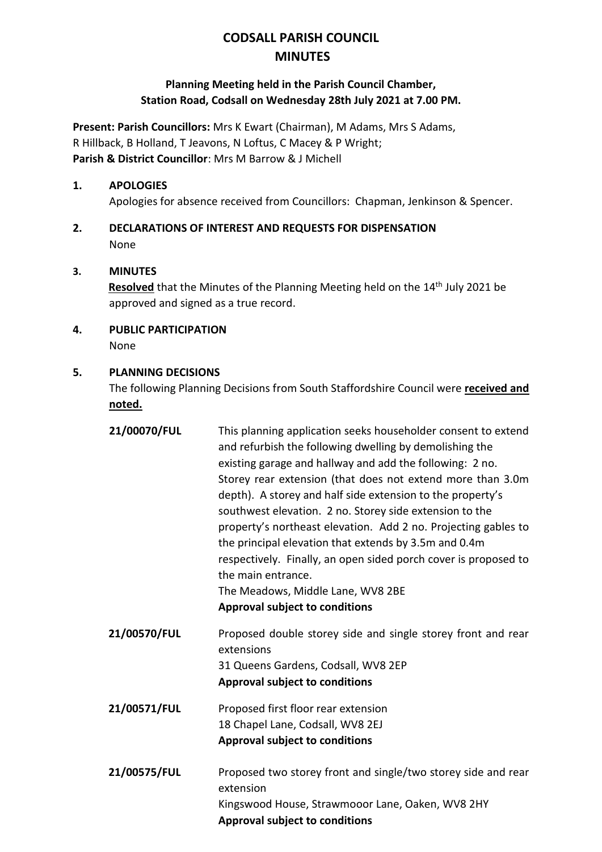# **CODSALL PARISH COUNCIL MINUTES**

## **Planning Meeting held in the Parish Council Chamber, Station Road, Codsall on Wednesday 28th July 2021 at 7.00 PM.**

**Present: Parish Councillors:** Mrs K Ewart (Chairman), M Adams, Mrs S Adams, R Hillback, B Holland, T Jeavons, N Loftus, C Macey & P Wright; **Parish & District Councillor**: Mrs M Barrow & J Michell

### **1. APOLOGIES**

Apologies for absence received from Councillors: Chapman, Jenkinson & Spencer.

# **2. DECLARATIONS OF INTEREST AND REQUESTS FOR DISPENSATION** None

#### **3. MINUTES**

Resolved that the Minutes of the Planning Meeting held on the 14<sup>th</sup> July 2021 be approved and signed as a true record.

**4. PUBLIC PARTICIPATION**

None

#### **5. PLANNING DECISIONS**

The following Planning Decisions from South Staffordshire Council were **received and noted.**

**21/00070/FUL** This planning application seeks householder consent to extend and refurbish the following dwelling by demolishing the existing garage and hallway and add the following: 2 no. Storey rear extension (that does not extend more than 3.0m depth). A storey and half side extension to the property's southwest elevation. 2 no. Storey side extension to the property's northeast elevation. Add 2 no. Projecting gables to the principal elevation that extends by 3.5m and 0.4m respectively. Finally, an open sided porch cover is proposed to the main entrance. The Meadows, Middle Lane, WV8 2BE **Approval subject to conditions 21/00570/FUL** Proposed double storey side and single storey front and rear extensions 31 Queens Gardens, Codsall, WV8 2EP **Approval subject to conditions 21/00571/FUL** Proposed first floor rear extension 18 Chapel Lane, Codsall, WV8 2EJ **Approval subject to conditions 21/00575/FUL** Proposed two storey front and single/two storey side and rear extension Kingswood House, Strawmooor Lane, Oaken, WV8 2HY **Approval subject to conditions**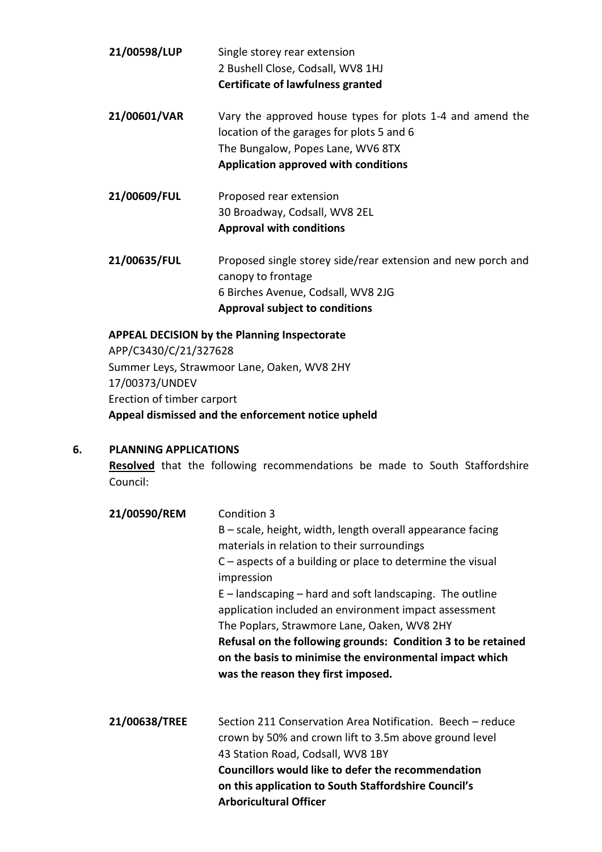| Single storey rear extension<br>2 Bushell Close, Codsall, WV8 1HJ<br><b>Certificate of lawfulness granted</b>                                                                       |
|-------------------------------------------------------------------------------------------------------------------------------------------------------------------------------------|
| Vary the approved house types for plots 1-4 and amend the<br>location of the garages for plots 5 and 6<br>The Bungalow, Popes Lane, WV6 8TX<br>Application approved with conditions |
| Proposed rear extension                                                                                                                                                             |
| 30 Broadway, Codsall, WV8 2EL                                                                                                                                                       |
| <b>Approval with conditions</b>                                                                                                                                                     |
| Proposed single storey side/rear extension and new porch and<br>canopy to frontage<br>6 Birches Avenue, Codsall, WV8 2JG<br><b>Approval subject to conditions</b>                   |
|                                                                                                                                                                                     |

**APPEAL DECISION by the Planning Inspectorate** APP/C3430/C/21/327628 Summer Leys, Strawmoor Lane, Oaken, WV8 2HY 17/00373/UNDEV Erection of timber carport **Appeal dismissed and the enforcement notice upheld**

#### **6. PLANNING APPLICATIONS**

**Resolved** that the following recommendations be made to South Staffordshire Council:

| 21/00590/REM  | Condition 3                                                                                                                                                   |
|---------------|---------------------------------------------------------------------------------------------------------------------------------------------------------------|
|               | $B$ – scale, height, width, length overall appearance facing<br>materials in relation to their surroundings                                                   |
|               | $C$ – aspects of a building or place to determine the visual<br>impression                                                                                    |
|               | $E$ – landscaping – hard and soft landscaping. The outline<br>application included an environment impact assessment                                           |
|               | The Poplars, Strawmore Lane, Oaken, WV8 2HY                                                                                                                   |
|               | Refusal on the following grounds: Condition 3 to be retained<br>on the basis to minimise the environmental impact which<br>was the reason they first imposed. |
| 21/00638/TREE | Section 211 Conservation Area Notification. Beech - reduce                                                                                                    |

crown by 50% and crown lift to 3.5m above ground level 43 Station Road, Codsall, WV8 1BY **Councillors would like to defer the recommendation on this application to South Staffordshire Council's Arboricultural Officer**